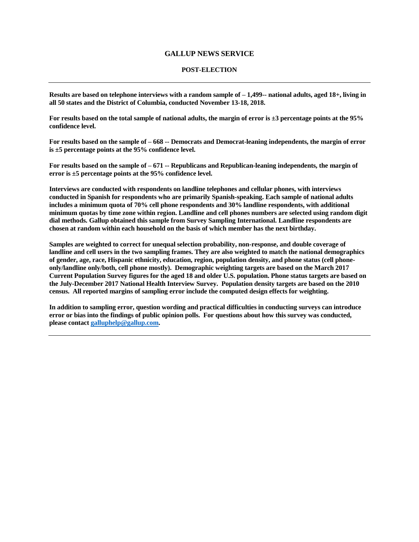## **GALLUP NEWS SERVICE**

## **POST-ELECTION**

**Results are based on telephone interviews with a random sample of – 1,499-- national adults, aged 18+, living in all 50 states and the District of Columbia, conducted November 13-18, 2018.** 

**For results based on the total sample of national adults, the margin of error is ±3 percentage points at the 95% confidence level.**

**For results based on the sample of – 668 -- Democrats and Democrat-leaning independents, the margin of error is ±5 percentage points at the 95% confidence level.**

**For results based on the sample of – 671 -- Republicans and Republican-leaning independents, the margin of error is ±5 percentage points at the 95% confidence level.**

**Interviews are conducted with respondents on landline telephones and cellular phones, with interviews conducted in Spanish for respondents who are primarily Spanish-speaking. Each sample of national adults includes a minimum quota of 70% cell phone respondents and 30% landline respondents, with additional minimum quotas by time zone within region. Landline and cell phones numbers are selected using random digit dial methods. Gallup obtained this sample from Survey Sampling International. Landline respondents are chosen at random within each household on the basis of which member has the next birthday.**

**Samples are weighted to correct for unequal selection probability, non-response, and double coverage of landline and cell users in the two sampling frames. They are also weighted to match the national demographics of gender, age, race, Hispanic ethnicity, education, region, population density, and phone status (cell phoneonly/landline only/both, cell phone mostly). Demographic weighting targets are based on the March 2017 Current Population Survey figures for the aged 18 and older U.S. population. Phone status targets are based on the July-December 2017 National Health Interview Survey. Population density targets are based on the 2010 census. All reported margins of sampling error include the computed design effects for weighting.**

**In addition to sampling error, question wording and practical difficulties in conducting surveys can introduce error or bias into the findings of public opinion polls. For questions about how this survey was conducted, please contac[t galluphelp@gallup.com.](mailto:galluphelp@gallup.com)**